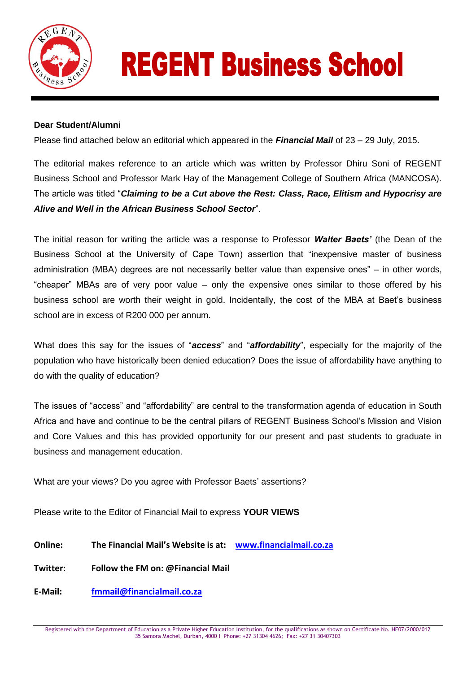

## **REGENT Business School**

## **Dear Student/Alumni**

Please find attached below an editorial which appeared in the *Financial Mail* of 23 – 29 July, 2015.

The editorial makes reference to an article which was written by Professor Dhiru Soni of REGENT Business School and Professor Mark Hay of the Management College of Southern Africa (MANCOSA). The article was titled "*Claiming to be a Cut above the Rest: Class, Race, Elitism and Hypocrisy are Alive and Well in the African Business School Sector*".

The initial reason for writing the article was a response to Professor *Walter Baets'* (the Dean of the Business School at the University of Cape Town) assertion that "inexpensive master of business administration (MBA) degrees are not necessarily better value than expensive ones" – in other words, "cheaper" MBAs are of very poor value – only the expensive ones similar to those offered by his business school are worth their weight in gold. Incidentally, the cost of the MBA at Baet's business school are in excess of R200 000 per annum.

What does this say for the issues of "*access*" and "*affordability*", especially for the majority of the population who have historically been denied education? Does the issue of affordability have anything to do with the quality of education?

The issues of "access" and "affordability" are central to the transformation agenda of education in South Africa and have and continue to be the central pillars of REGENT Business School's Mission and Vision and Core Values and this has provided opportunity for our present and past students to graduate in business and management education.

What are your views? Do you agree with Professor Baets' assertions?

Please write to the Editor of Financial Mail to express **YOUR VIEWS**

**Online: The Financial Mail's Website is at: [www.financialmail.co.za](http://www.financialmail.co.za/)**

**Twitter: Follow the FM on: @Financial Mail**

**E-Mail: [fmmail@financialmail.co.za](mailto:fmmail@financialmail.co.za)**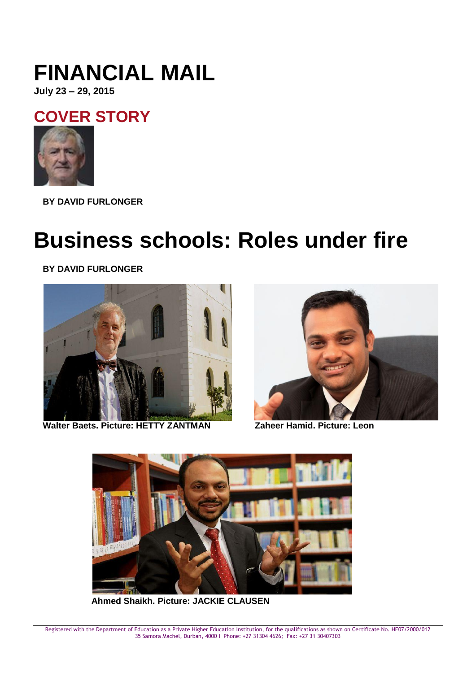## **FINANCIAL MAIL**

**July 23 – 29, 2015**

**[COVER STORY](http://www.financialmail.co.za/coverstory/)**



**BY [DAVID FURLONGER](http://www.financialmail.co.za/staffprofiles/2012/04/04/david-furlonger-profile)**

## **Business schools: Roles under fire**

**BY [DAVID FURLONGER](http://www.financialmail.co.za/staffprofiles/2012/04/04/david-furlonger-profile)**



**Walter Baets. Picture: HETTY ZANTMAN Zaheer Hamid. Picture: Leon** 





**Ahmed Shaikh. Picture: JACKIE CLAUSEN**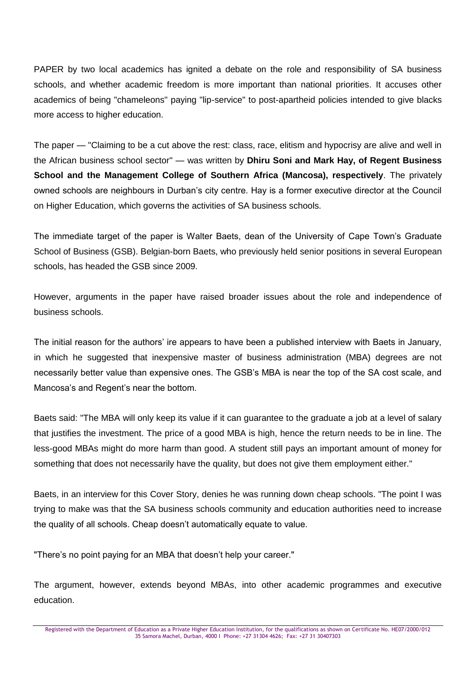PAPER by two local academics has ignited a debate on the role and responsibility of SA business schools, and whether academic freedom is more important than national priorities. It accuses other academics of being "chameleons" paying "lip-service" to post-apartheid policies intended to give blacks more access to higher education.

The paper — "Claiming to be a cut above the rest: class, race, elitism and hypocrisy are alive and well in the African business school sector" — was written by **Dhiru Soni and Mark Hay, of Regent Business School and the Management College of Southern Africa (Mancosa), respectively**. The privately owned schools are neighbours in Durban's city centre. Hay is a former executive director at the Council on Higher Education, which governs the activities of SA business schools.

The immediate target of the paper is Walter Baets, dean of the University of Cape Town's Graduate School of Business (GSB). Belgian-born Baets, who previously held senior positions in several European schools, has headed the GSB since 2009.

However, arguments in the paper have raised broader issues about the role and independence of business schools.

The initial reason for the authors' ire appears to have been a published interview with Baets in January, in which he suggested that inexpensive master of business administration (MBA) degrees are not necessarily better value than expensive ones. The GSB's MBA is near the top of the SA cost scale, and Mancosa's and Regent's near the bottom.

Baets said: "The MBA will only keep its value if it can guarantee to the graduate a job at a level of salary that justifies the investment. The price of a good MBA is high, hence the return needs to be in line. The less-good MBAs might do more harm than good. A student still pays an important amount of money for something that does not necessarily have the quality, but does not give them employment either."

Baets, in an interview for this Cover Story, denies he was running down cheap schools. "The point I was trying to make was that the SA business schools community and education authorities need to increase the quality of all schools. Cheap doesn't automatically equate to value.

"There's no point paying for an MBA that doesn't help your career."

The argument, however, extends beyond MBAs, into other academic programmes and executive education.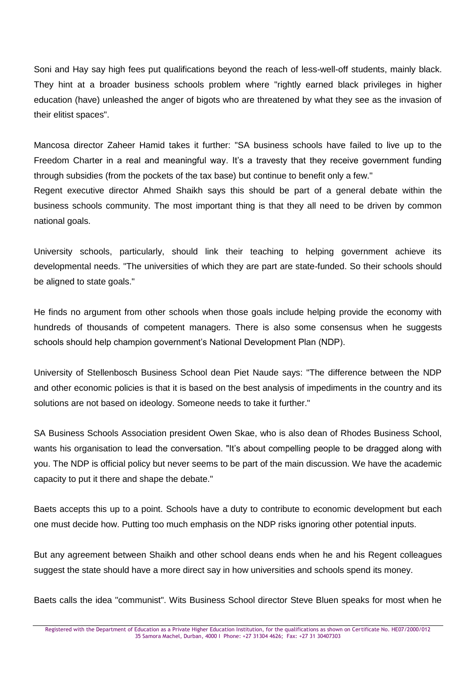Soni and Hay say high fees put qualifications beyond the reach of less-well-off students, mainly black. They hint at a broader business schools problem where "rightly earned black privileges in higher education (have) unleashed the anger of bigots who are threatened by what they see as the invasion of their elitist spaces".

Mancosa director Zaheer Hamid takes it further: "SA business schools have failed to live up to the Freedom Charter in a real and meaningful way. It's a travesty that they receive government funding through subsidies (from the pockets of the tax base) but continue to benefit only a few."

Regent executive director Ahmed Shaikh says this should be part of a general debate within the business schools community. The most important thing is that they all need to be driven by common national goals.

University schools, particularly, should link their teaching to helping government achieve its developmental needs. "The universities of which they are part are state-funded. So their schools should be aligned to state goals."

He finds no argument from other schools when those goals include helping provide the economy with hundreds of thousands of competent managers. There is also some consensus when he suggests schools should help champion government's National Development Plan (NDP).

University of Stellenbosch Business School dean Piet Naude says: "The difference between the NDP and other economic policies is that it is based on the best analysis of impediments in the country and its solutions are not based on ideology. Someone needs to take it further."

SA Business Schools Association president Owen Skae, who is also dean of Rhodes Business School, wants his organisation to lead the conversation. "It's about compelling people to be dragged along with you. The NDP is official policy but never seems to be part of the main discussion. We have the academic capacity to put it there and shape the debate."

Baets accepts this up to a point. Schools have a duty to contribute to economic development but each one must decide how. Putting too much emphasis on the NDP risks ignoring other potential inputs.

But any agreement between Shaikh and other school deans ends when he and his Regent colleagues suggest the state should have a more direct say in how universities and schools spend its money.

Baets calls the idea "communist". Wits Business School director Steve Bluen speaks for most when he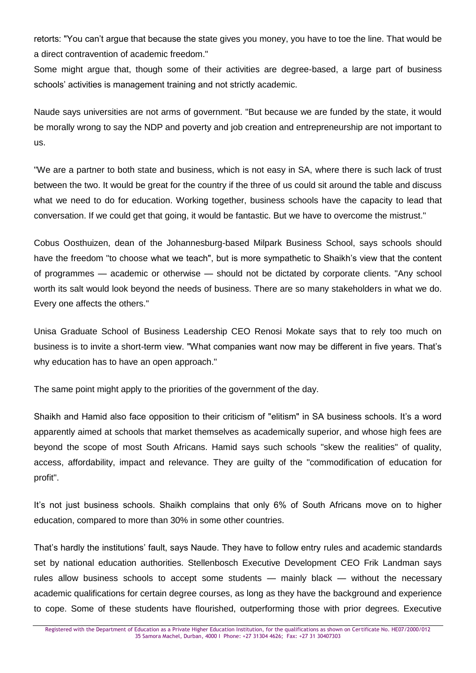retorts: "You can't argue that because the state gives you money, you have to toe the line. That would be a direct contravention of academic freedom."

Some might argue that, though some of their activities are degree-based, a large part of business schools' activities is management training and not strictly academic.

Naude says universities are not arms of government. "But because we are funded by the state, it would be morally wrong to say the NDP and poverty and job creation and entrepreneurship are not important to us.

"We are a partner to both state and business, which is not easy in SA, where there is such lack of trust between the two. It would be great for the country if the three of us could sit around the table and discuss what we need to do for education. Working together, business schools have the capacity to lead that conversation. If we could get that going, it would be fantastic. But we have to overcome the mistrust."

Cobus Oosthuizen, dean of the Johannesburg-based Milpark Business School, says schools should have the freedom "to choose what we teach", but is more sympathetic to Shaikh's view that the content of programmes — academic or otherwise — should not be dictated by corporate clients. "Any school worth its salt would look beyond the needs of business. There are so many stakeholders in what we do. Every one affects the others."

Unisa Graduate School of Business Leadership CEO Renosi Mokate says that to rely too much on business is to invite a short-term view. "What companies want now may be different in five years. That's why education has to have an open approach."

The same point might apply to the priorities of the government of the day.

Shaikh and Hamid also face opposition to their criticism of "elitism" in SA business schools. It's a word apparently aimed at schools that market themselves as academically superior, and whose high fees are beyond the scope of most South Africans. Hamid says such schools "skew the realities" of quality, access, affordability, impact and relevance. They are guilty of the "commodification of education for profit".

It's not just business schools. Shaikh complains that only 6% of South Africans move on to higher education, compared to more than 30% in some other countries.

That's hardly the institutions' fault, says Naude. They have to follow entry rules and academic standards set by national education authorities. Stellenbosch Executive Development CEO Frik Landman says rules allow business schools to accept some students — mainly black — without the necessary academic qualifications for certain degree courses, as long as they have the background and experience to cope. Some of these students have flourished, outperforming those with prior degrees. Executive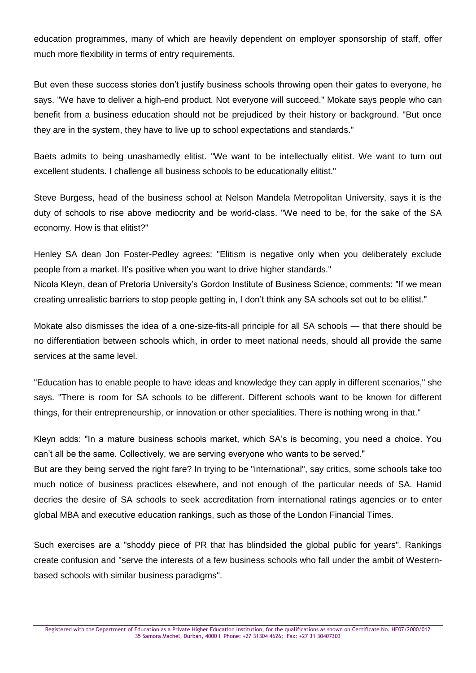education programmes, many of which are heavily dependent on employer sponsorship of staff, offer much more flexibility in terms of entry requirements.

But even these success stories don't justify business schools throwing open their gates to everyone, he says. "We have to deliver a high-end product. Not everyone will succeed." Mokate says people who can benefit from a business education should not be prejudiced by their history or background. "But once they are in the system, they have to live up to school expectations and standards."

Baets admits to being unashamedly elitist. "We want to be intellectually elitist. We want to turn out excellent students. I challenge all business schools to be educationally elitist."

Steve Burgess, head of the business school at Nelson Mandela Metropolitan University, says it is the duty of schools to rise above mediocrity and be world-class. "We need to be, for the sake of the SA economy. How is that elitist?"

Henley SA dean Jon Foster-Pedley agrees: "Elitism is negative only when you deliberately exclude people from a market. It's positive when you want to drive higher standards."

Nicola Kleyn, dean of Pretoria University's Gordon Institute of Business Science, comments: "If we mean creating unrealistic barriers to stop people getting in, I don't think any SA schools set out to be elitist."

Mokate also dismisses the idea of a one-size-fits-all principle for all SA schools — that there should be no differentiation between schools which, in order to meet national needs, should all provide the same services at the same level.

"Education has to enable people to have ideas and knowledge they can apply in different scenarios," she says. "There is room for SA schools to be different. Different schools want to be known for different things, for their entrepreneurship, or innovation or other specialities. There is nothing wrong in that."

Kleyn adds: "In a mature business schools market, which SA's is becoming, you need a choice. You can't all be the same. Collectively, we are serving everyone who wants to be served."

But are they being served the right fare? In trying to be "international", say critics, some schools take too much notice of business practices elsewhere, and not enough of the particular needs of SA. Hamid decries the desire of SA schools to seek accreditation from international ratings agencies or to enter global MBA and executive education rankings, such as those of the London Financial Times.

Such exercises are a "shoddy piece of PR that has blindsided the global public for years". Rankings create confusion and "serve the interests of a few business schools who fall under the ambit of Westernbased schools with similar business paradigms".